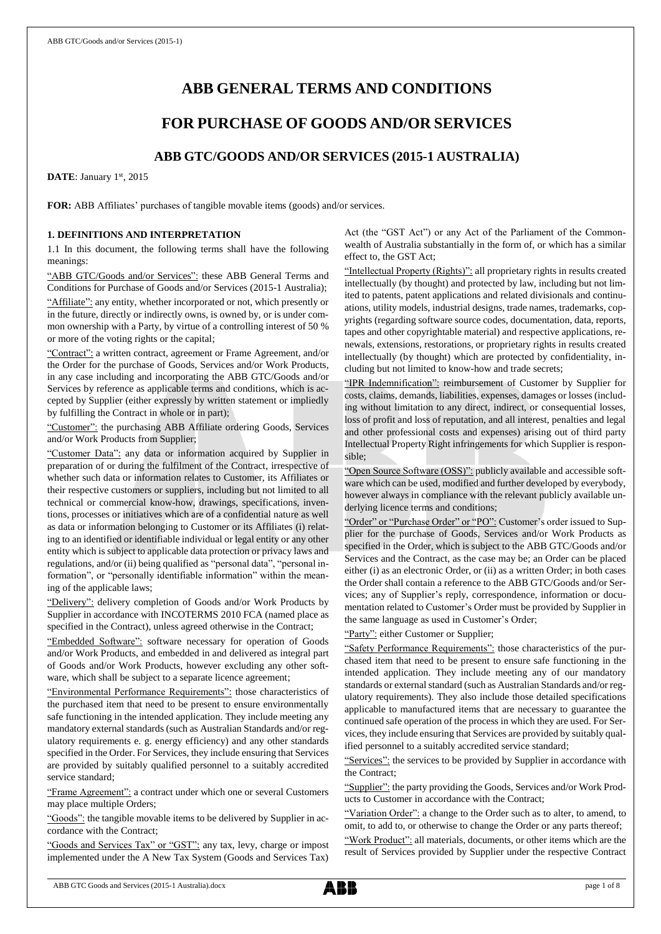# **ABB GENERAL TERMS AND CONDITIONS**

## **FOR PURCHASE OF GOODS AND/OR SERVICES**

## **ABB GTC/GOODS AND/OR SERVICES (2015-1 AUSTRALIA)**

DATE: January 1st, 2015

**FOR:** ABB Affiliates' purchases of tangible movable items (goods) and/or services.

### **1. DEFINITIONS AND INTERPRETATION**

1.1 In this document, the following terms shall have the following meanings:

"ABB GTC/Goods and/or Services": these ABB General Terms and Conditions for Purchase of Goods and/or Services (2015-1 Australia); "Affiliate": any entity, whether incorporated or not, which presently or in the future, directly or indirectly owns, is owned by, or is under common ownership with a Party, by virtue of a controlling interest of 50 % or more of the voting rights or the capital;

"Contract": a written contract, agreement or Frame Agreement, and/or the Order for the purchase of Goods, Services and/or Work Products, in any case including and incorporating the ABB GTC/Goods and/or Services by reference as applicable terms and conditions, which is accepted by Supplier (either expressly by written statement or impliedly by fulfilling the Contract in whole or in part);

"Customer": the purchasing ABB Affiliate ordering Goods, Services and/or Work Products from Supplier;

"Customer Data": any data or information acquired by Supplier in preparation of or during the fulfilment of the Contract, irrespective of whether such data or information relates to Customer, its Affiliates or their respective customers or suppliers, including but not limited to all technical or commercial know-how, drawings, specifications, inventions, processes or initiatives which are of a confidential nature as well as data or information belonging to Customer or its Affiliates (i) relating to an identified or identifiable individual or legal entity or any other entity which is subject to applicable data protection or privacy laws and regulations, and/or (ii) being qualified as "personal data", "personal information", or "personally identifiable information" within the meaning of the applicable laws;

"Delivery": delivery completion of Goods and/or Work Products by Supplier in accordance with INCOTERMS 2010 FCA (named place as specified in the Contract), unless agreed otherwise in the Contract;

edded Software": software necessary for operation of Goods and/or Work Products, and embedded in and delivered as integral part of Goods and/or Work Products, however excluding any other software, which shall be subject to a separate licence agreement;

"Environmental Performance Requirements": those characteristics of the purchased item that need to be present to ensure environmentally safe functioning in the intended application. They include meeting any mandatory external standards (such as Australian Standards and/or regulatory requirements e. g. energy efficiency) and any other standards specified in the Order. For Services, they include ensuring that Services are provided by suitably qualified personnel to a suitably accredited service standard;

"Frame Agreement": a contract under which one or several Customers may place multiple Orders;

"Goods": the tangible movable items to be delivered by Supplier in accordance with the Contract;

"Goods and Services Tax" or "GST": any tax, levy, charge or impost implemented under the A New Tax System (Goods and Services Tax) Act (the "GST Act") or any Act of the Parliament of the Commonwealth of Australia substantially in the form of, or which has a similar effect to, the GST Act;

"Intellectual Property (Rights)": all proprietary rights in results created intellectually (by thought) and protected by law, including but not limited to patents, patent applications and related divisionals and continuations, utility models, industrial designs, trade names, trademarks, copyrights (regarding software source codes, documentation, data, reports, tapes and other copyrightable material) and respective applications, renewals, extensions, restorations, or proprietary rights in results created intellectually (by thought) which are protected by confidentiality, including but not limited to know-how and trade secrets;

"IPR Indemnification": reimbursement of Customer by Supplier for costs, claims, demands, liabilities, expenses, damages or losses (including without limitation to any direct, indirect, or consequential losses, loss of profit and loss of reputation, and all interest, penalties and legal and other professional costs and expenses) arising out of third party Intellectual Property Right infringements for which Supplier is responsible;

"Open Source Software (OSS)": publicly available and accessible software which can be used, modified and further developed by everybody, however always in compliance with the relevant publicly available underlying licence terms and conditions;

"Order" or "Purchase Order" or "PO": Customer's order issued to Supplier for the purchase of Goods, Services and/or Work Products as specified in the Order, which is subject to the ABB GTC/Goods and/or Services and the Contract, as the case may be; an Order can be placed either (i) as an electronic Order, or (ii) as a written Order; in both cases the Order shall contain a reference to the ABB GTC/Goods and/or Services; any of Supplier's reply, correspondence, information or documentation related to Customer's Order must be provided by Supplier in the same language as used in Customer's Order;

"Party": either Customer or Supplier;

"Safety Performance Requirements": those characteristics of the purchased item that need to be present to ensure safe functioning in the intended application. They include meeting any of our mandatory standards or external standard (such as Australian Standards and/or regulatory requirements). They also include those detailed specifications applicable to manufactured items that are necessary to guarantee the continued safe operation of the process in which they are used. For Services, they include ensuring that Services are provided by suitably qualified personnel to a suitably accredited service standard;

"Services": the services to be provided by Supplier in accordance with the Contract;

"Supplier": the party providing the Goods, Services and/or Work Products to Customer in accordance with the Contract;

"Variation Order": a change to the Order such as to alter, to amend, to omit, to add to, or otherwise to change the Order or any parts thereof; "Work Product": all materials, documents, or other items which are the result of Services provided by Supplier under the respective Contract

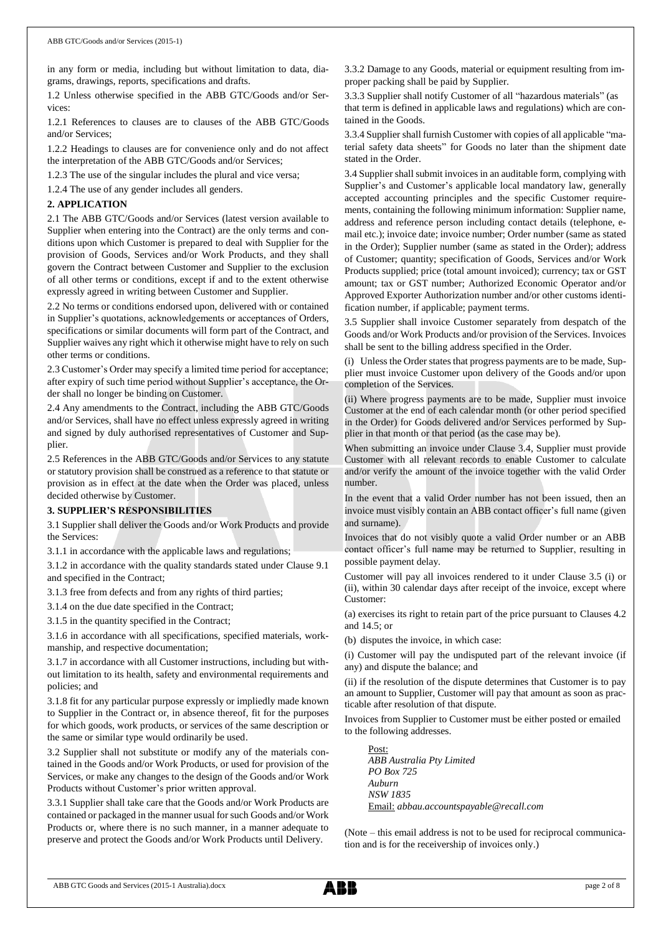in any form or media, including but without limitation to data, diagrams, drawings, reports, specifications and drafts.

1.2 Unless otherwise specified in the ABB GTC/Goods and/or Services:

1.2.1 References to clauses are to clauses of the ABB GTC/Goods and/or Services;

1.2.2 Headings to clauses are for convenience only and do not affect the interpretation of the ABB GTC/Goods and/or Services;

1.2.3 The use of the singular includes the plural and vice versa;

1.2.4 The use of any gender includes all genders.

## **2. APPLICATION**

2.1 The ABB GTC/Goods and/or Services (latest version available to Supplier when entering into the Contract) are the only terms and conditions upon which Customer is prepared to deal with Supplier for the provision of Goods, Services and/or Work Products, and they shall govern the Contract between Customer and Supplier to the exclusion of all other terms or conditions, except if and to the extent otherwise expressly agreed in writing between Customer and Supplier.

2.2 No terms or conditions endorsed upon, delivered with or contained in Supplier's quotations, acknowledgements or acceptances of Orders, specifications or similar documents will form part of the Contract, and Supplier waives any right which it otherwise might have to rely on such other terms or conditions.

2.3 Customer's Order may specify a limited time period for acceptance; after expiry of such time period without Supplier's acceptance, the Order shall no longer be binding on Customer.

2.4 Any amendments to the Contract, including the ABB GTC/Goods and/or Services, shall have no effect unless expressly agreed in writing and signed by duly authorised representatives of Customer and Supplier.

2.5 References in the ABB GTC/Goods and/or Services to any statute or statutory provision shall be construed as a reference to that statute or provision as in effect at the date when the Order was placed, unless decided otherwise by Customer.

### **3. SUPPLIER'S RESPONSIBILITIES**

3.1 Supplier shall deliver the Goods and/or Work Products and provide the Services:

3.1.1 in accordance with the applicable laws and regulations;

3.1.2 in accordance with the quality standards stated under Clause 9.1 and specified in the Contract;

3.1.3 free from defects and from any rights of third parties;

3.1.4 on the due date specified in the Contract;

3.1.5 in the quantity specified in the Contract;

3.1.6 in accordance with all specifications, specified materials, workmanship, and respective documentation;

3.1.7 in accordance with all Customer instructions, including but without limitation to its health, safety and environmental requirements and policies; and

3.1.8 fit for any particular purpose expressly or impliedly made known to Supplier in the Contract or, in absence thereof, fit for the purposes for which goods, work products, or services of the same description or the same or similar type would ordinarily be used.

3.2 Supplier shall not substitute or modify any of the materials contained in the Goods and/or Work Products, or used for provision of the Services, or make any changes to the design of the Goods and/or Work Products without Customer's prior written approval.

3.3.1 Supplier shall take care that the Goods and/or Work Products are contained or packaged in the manner usual for such Goods and/or Work Products or, where there is no such manner, in a manner adequate to preserve and protect the Goods and/or Work Products until Delivery.

3.3.2 Damage to any Goods, material or equipment resulting from improper packing shall be paid by Supplier.

3.3.3 Supplier shall notify Customer of all "hazardous materials" (as that term is defined in applicable laws and regulations) which are contained in the Goods.

3.3.4 Supplier shall furnish Customer with copies of all applicable "material safety data sheets" for Goods no later than the shipment date stated in the Order.

3.4 Supplier shall submit invoices in an auditable form, complying with Supplier's and Customer's applicable local mandatory law, generally accepted accounting principles and the specific Customer requirements, containing the following minimum information: Supplier name, address and reference person including contact details (telephone, email etc.); invoice date; invoice number; Order number (same as stated in the Order); Supplier number (same as stated in the Order); address of Customer; quantity; specification of Goods, Services and/or Work Products supplied; price (total amount invoiced); currency; tax or GST amount; tax or GST number; Authorized Economic Operator and/or Approved Exporter Authorization number and/or other customs identification number, if applicable; payment terms.

3.5 Supplier shall invoice Customer separately from despatch of the Goods and/or Work Products and/or provision of the Services. Invoices shall be sent to the billing address specified in the Order.

(i) Unless the Order states that progress payments are to be made, Supplier must invoice Customer upon delivery of the Goods and/or upon completion of the Services.

(ii) Where progress payments are to be made, Supplier must invoice Customer at the end of each calendar month (or other period specified in the Order) for Goods delivered and/or Services performed by Supplier in that month or that period (as the case may be).

When submitting an invoice under Clause 3.4, Supplier must provide Customer with all relevant records to enable Customer to calculate and/or verify the amount of the invoice together with the valid Order number.

In the event that a valid Order number has not been issued, then an invoice must visibly contain an ABB contact officer's full name (given and surname).

Invoices that do not visibly quote a valid Order number or an ABB contact officer's full name may be returned to Supplier, resulting in possible payment delay.

Customer will pay all invoices rendered to it under Clause 3.5 (i) or (ii), within 30 calendar days after receipt of the invoice, except where Customer:

(a) exercises its right to retain part of the price pursuant to Clauses 4.2 and 14.5; or

(b) disputes the invoice, in which case:

(i) Customer will pay the undisputed part of the relevant invoice (if any) and dispute the balance; and

(ii) if the resolution of the dispute determines that Customer is to pay an amount to Supplier, Customer will pay that amount as soon as practicable after resolution of that dispute.

Invoices from Supplier to Customer must be either posted or emailed to the following addresses.

Post: *ABB Australia Pty Limited PO Box 725 Auburn NSW 1835* Email: *[abbau.accountspayable@recall.com](mailto:abbau.accountspayable@recall.com)*

(Note – this email address is not to be used for reciprocal communication and is for the receivership of invoices only.)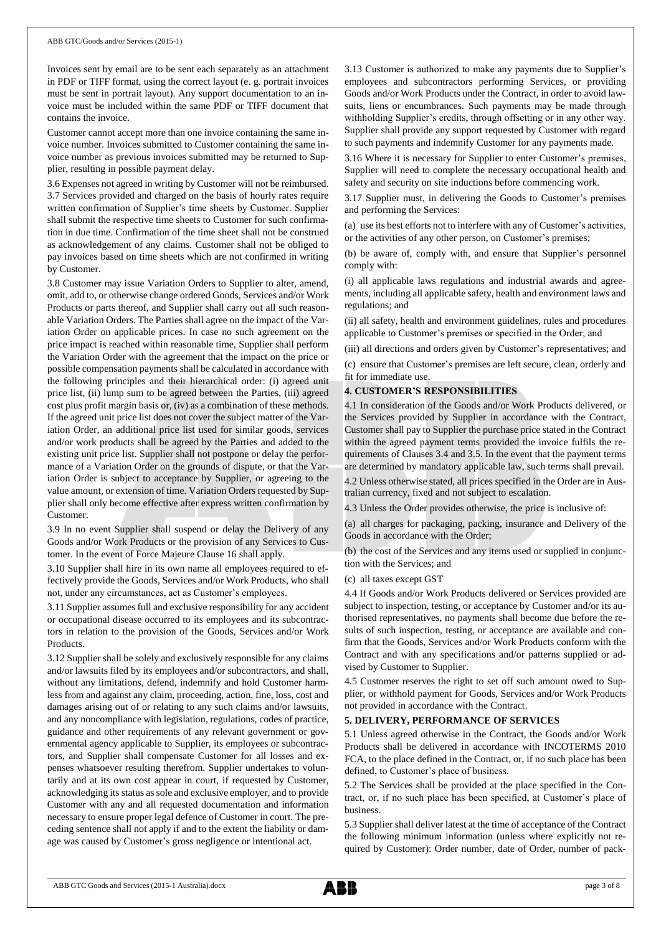Invoices sent by email are to be sent each separately as an attachment in PDF or TIFF format, using the correct layout (e. g. portrait invoices must be sent in portrait layout). Any support documentation to an invoice must be included within the same PDF or TIFF document that contains the invoice.

Customer cannot accept more than one invoice containing the same invoice number. Invoices submitted to Customer containing the same invoice number as previous invoices submitted may be returned to Supplier, resulting in possible payment delay.

3.6 Expenses not agreed in writing by Customer will not be reimbursed. 3.7 Services provided and charged on the basis of hourly rates require written confirmation of Supplier's time sheets by Customer. Supplier shall submit the respective time sheets to Customer for such confirmation in due time. Confirmation of the time sheet shall not be construed as acknowledgement of any claims. Customer shall not be obliged to pay invoices based on time sheets which are not confirmed in writing by Customer.

3.8 Customer may issue Variation Orders to Supplier to alter, amend, omit, add to, or otherwise change ordered Goods, Services and/or Work Products or parts thereof, and Supplier shall carry out all such reasonable Variation Orders. The Parties shall agree on the impact of the Variation Order on applicable prices. In case no such agreement on the price impact is reached within reasonable time, Supplier shall perform the Variation Order with the agreement that the impact on the price or possible compensation payments shall be calculated in accordance with the following principles and their hierarchical order: (i) agreed unit price list, (ii) lump sum to be agreed between the Parties, (iii) agreed cost plus profit margin basis or, (iv) as a combination of these methods. If the agreed unit price list does not cover the subject matter of the Variation Order, an additional price list used for similar goods, services and/or work products shall be agreed by the Parties and added to the existing unit price list. Supplier shall not postpone or delay the performance of a Variation Order on the grounds of dispute, or that the Variation Order is subject to acceptance by Supplier, or agreeing to the value amount, or extension of time. Variation Orders requested by Supplier shall only become effective after express written confirmation by Customer.

3.9 In no event Supplier shall suspend or delay the Delivery of any Goods and/or Work Products or the provision of any Services to Customer. In the event of Force Majeure Clause 16 shall apply.

3.10 Supplier shall hire in its own name all employees required to effectively provide the Goods, Services and/or Work Products, who shall not, under any circumstances, act as Customer's employees.

3.11 Supplier assumes full and exclusive responsibility for any accident or occupational disease occurred to its employees and its subcontractors in relation to the provision of the Goods, Services and/or Work Products.

3.12 Supplier shall be solely and exclusively responsible for any claims and/or lawsuits filed by its employees and/or subcontractors, and shall, without any limitations, defend, indemnify and hold Customer harmless from and against any claim, proceeding, action, fine, loss, cost and damages arising out of or relating to any such claims and/or lawsuits, and any noncompliance with legislation, regulations, codes of practice, guidance and other requirements of any relevant government or governmental agency applicable to Supplier, its employees or subcontractors, and Supplier shall compensate Customer for all losses and expenses whatsoever resulting therefrom. Supplier undertakes to voluntarily and at its own cost appear in court, if requested by Customer, acknowledging its status as sole and exclusive employer, and to provide Customer with any and all requested documentation and information necessary to ensure proper legal defence of Customer in court. The preceding sentence shall not apply if and to the extent the liability or damage was caused by Customer's gross negligence or intentional act.

3.13 Customer is authorized to make any payments due to Supplier's employees and subcontractors performing Services, or providing Goods and/or Work Products under the Contract, in order to avoid lawsuits, liens or encumbrances. Such payments may be made through withholding Supplier's credits, through offsetting or in any other way. Supplier shall provide any support requested by Customer with regard to such payments and indemnify Customer for any payments made.

3.16 Where it is necessary for Supplier to enter Customer's premises, Supplier will need to complete the necessary occupational health and safety and security on site inductions before commencing work.

3.17 Supplier must, in delivering the Goods to Customer's premises and performing the Services:

(a) use its best efforts not to interfere with any of Customer's activities, or the activities of any other person, on Customer's premises;

(b) be aware of, comply with, and ensure that Supplier's personnel comply with:

(i) all applicable laws regulations and industrial awards and agreements, including all applicable safety, health and environment laws and regulations; and

(ii) all safety, health and environment guidelines, rules and procedures applicable to Customer's premises or specified in the Order; and

(iii) all directions and orders given by Customer's representatives; and

(c) ensure that Customer's premises are left secure, clean, orderly and fit for immediate use.

## **4. CUSTOMER'S RESPONSIBILITIES**

4.1 In consideration of the Goods and/or Work Products delivered, or the Services provided by Supplier in accordance with the Contract, Customer shall pay to Supplier the purchase price stated in the Contract within the agreed payment terms provided the invoice fulfils the requirements of Clauses 3.4 and 3.5. In the event that the payment terms are determined by mandatory applicable law, such terms shall prevail.

4.2 Unless otherwise stated, all prices specified in the Order are in Australian currency, fixed and not subject to escalation.

4.3 Unless the Order provides otherwise, the price is inclusive of:

(a) all charges for packaging, packing, insurance and Delivery of the Goods in accordance with the Order;

(b) the cost of the Services and any items used or supplied in conjunction with the Services; and

(c) all taxes except GST

4.4 If Goods and/or Work Products delivered or Services provided are subject to inspection, testing, or acceptance by Customer and/or its authorised representatives, no payments shall become due before the results of such inspection, testing, or acceptance are available and confirm that the Goods, Services and/or Work Products conform with the Contract and with any specifications and/or patterns supplied or advised by Customer to Supplier.

4.5 Customer reserves the right to set off such amount owed to Supplier, or withhold payment for Goods, Services and/or Work Products not provided in accordance with the Contract.

## **5. DELIVERY, PERFORMANCE OF SERVICES**

5.1 Unless agreed otherwise in the Contract, the Goods and/or Work Products shall be delivered in accordance with INCOTERMS 2010 FCA, to the place defined in the Contract, or, if no such place has been defined, to Customer's place of business.

5.2 The Services shall be provided at the place specified in the Contract, or, if no such place has been specified, at Customer's place of business.

5.3 Supplier shall deliver latest at the time of acceptance of the Contract the following minimum information (unless where explicitly not required by Customer): Order number, date of Order, number of pack-

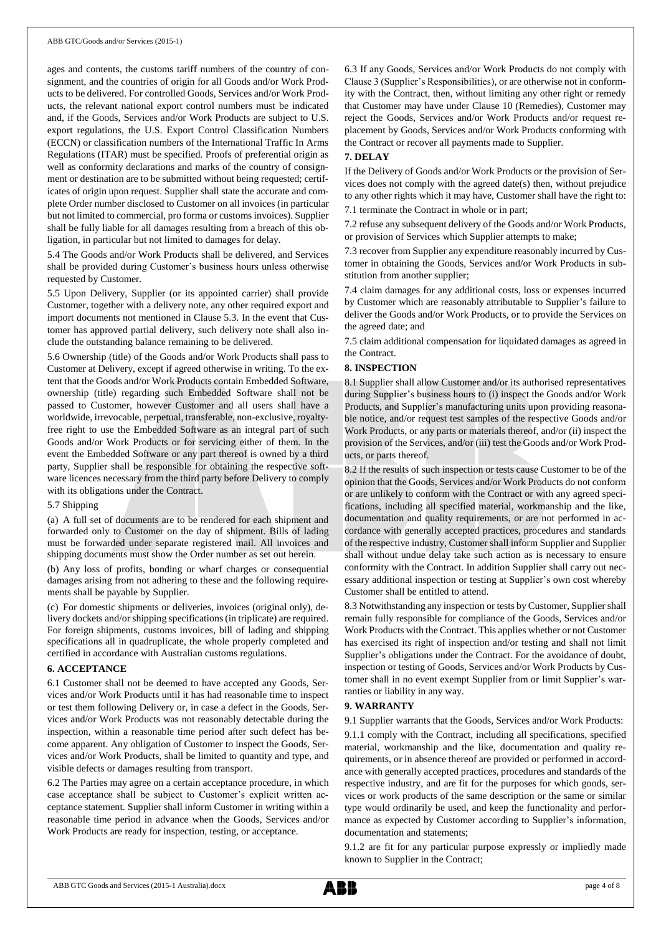ages and contents, the customs tariff numbers of the country of consignment, and the countries of origin for all Goods and/or Work Products to be delivered. For controlled Goods, Services and/or Work Products, the relevant national export control numbers must be indicated and, if the Goods, Services and/or Work Products are subject to U.S. export regulations, the U.S. Export Control Classification Numbers (ECCN) or classification numbers of the International Traffic In Arms Regulations (ITAR) must be specified. Proofs of preferential origin as well as conformity declarations and marks of the country of consignment or destination are to be submitted without being requested; certificates of origin upon request. Supplier shall state the accurate and complete Order number disclosed to Customer on all invoices (in particular but not limited to commercial, pro forma or customs invoices). Supplier shall be fully liable for all damages resulting from a breach of this obligation, in particular but not limited to damages for delay.

5.4 The Goods and/or Work Products shall be delivered, and Services shall be provided during Customer's business hours unless otherwise requested by Customer.

5.5 Upon Delivery, Supplier (or its appointed carrier) shall provide Customer, together with a delivery note, any other required export and import documents not mentioned in Clause 5.3. In the event that Customer has approved partial delivery, such delivery note shall also include the outstanding balance remaining to be delivered.

5.6 Ownership (title) of the Goods and/or Work Products shall pass to Customer at Delivery, except if agreed otherwise in writing. To the extent that the Goods and/or Work Products contain Embedded Software, ownership (title) regarding such Embedded Software shall not be passed to Customer, however Customer and all users shall have a worldwide, irrevocable, perpetual, transferable, non-exclusive, royaltyfree right to use the Embedded Software as an integral part of such Goods and/or Work Products or for servicing either of them. In the event the Embedded Software or any part thereof is owned by a third party, Supplier shall be responsible for obtaining the respective software licences necessary from the third party before Delivery to comply with its obligations under the Contract.

#### 5.7 Shipping

(a) A full set of documents are to be rendered for each shipment and forwarded only to Customer on the day of shipment. Bills of lading must be forwarded under separate registered mail. All invoices and shipping documents must show the Order number as set out herein.

(b) Any loss of profits, bonding or wharf charges or consequential damages arising from not adhering to these and the following requirements shall be payable by Supplier.

(c) For domestic shipments or deliveries, invoices (original only), delivery dockets and/or shipping specifications (in triplicate) are required. For foreign shipments, customs invoices, bill of lading and shipping specifications all in quadruplicate, the whole properly completed and certified in accordance with Australian customs regulations.

#### **6. ACCEPTANCE**

6.1 Customer shall not be deemed to have accepted any Goods, Services and/or Work Products until it has had reasonable time to inspect or test them following Delivery or, in case a defect in the Goods, Services and/or Work Products was not reasonably detectable during the inspection, within a reasonable time period after such defect has become apparent. Any obligation of Customer to inspect the Goods, Services and/or Work Products, shall be limited to quantity and type, and visible defects or damages resulting from transport.

6.2 The Parties may agree on a certain acceptance procedure, in which case acceptance shall be subject to Customer's explicit written acceptance statement. Supplier shall inform Customer in writing within a reasonable time period in advance when the Goods, Services and/or Work Products are ready for inspection, testing, or acceptance.

6.3 If any Goods, Services and/or Work Products do not comply with Clause 3 (Supplier's Responsibilities), or are otherwise not in conformity with the Contract, then, without limiting any other right or remedy that Customer may have under Clause 10 (Remedies), Customer may reject the Goods, Services and/or Work Products and/or request replacement by Goods, Services and/or Work Products conforming with the Contract or recover all payments made to Supplier.

## **7. DELAY**

If the Delivery of Goods and/or Work Products or the provision of Services does not comply with the agreed date(s) then, without prejudice to any other rights which it may have, Customer shall have the right to:

7.1 terminate the Contract in whole or in part;

7.2 refuse any subsequent delivery of the Goods and/or Work Products, or provision of Services which Supplier attempts to make;

7.3 recover from Supplier any expenditure reasonably incurred by Customer in obtaining the Goods, Services and/or Work Products in substitution from another supplier;

7.4 claim damages for any additional costs, loss or expenses incurred by Customer which are reasonably attributable to Supplier's failure to deliver the Goods and/or Work Products, or to provide the Services on the agreed date; and

7.5 claim additional compensation for liquidated damages as agreed in the Contract.

### **8. INSPECTION**

8.1 Supplier shall allow Customer and/or its authorised representatives during Supplier's business hours to (i) inspect the Goods and/or Work Products, and Supplier's manufacturing units upon providing reasonable notice, and/or request test samples of the respective Goods and/or Work Products, or any parts or materials thereof, and/or (ii) inspect the provision of the Services, and/or (iii) test the Goods and/or Work Products, or parts thereof.

8.2 If the results of such inspection or tests cause Customer to be of the opinion that the Goods, Services and/or Work Products do not conform or are unlikely to conform with the Contract or with any agreed specifications, including all specified material, workmanship and the like, documentation and quality requirements, or are not performed in accordance with generally accepted practices, procedures and standards of the respective industry, Customer shall inform Supplier and Supplier shall without undue delay take such action as is necessary to ensure conformity with the Contract. In addition Supplier shall carry out necessary additional inspection or testing at Supplier's own cost whereby Customer shall be entitled to attend.

8.3 Notwithstanding any inspection or tests by Customer, Supplier shall remain fully responsible for compliance of the Goods, Services and/or Work Products with the Contract. This applies whether or not Customer has exercised its right of inspection and/or testing and shall not limit Supplier's obligations under the Contract. For the avoidance of doubt, inspection or testing of Goods, Services and/or Work Products by Customer shall in no event exempt Supplier from or limit Supplier's warranties or liability in any way.

#### **9. WARRANTY**

9.1 Supplier warrants that the Goods, Services and/or Work Products:

9.1.1 comply with the Contract, including all specifications, specified material, workmanship and the like, documentation and quality requirements, or in absence thereof are provided or performed in accordance with generally accepted practices, procedures and standards of the respective industry, and are fit for the purposes for which goods, services or work products of the same description or the same or similar type would ordinarily be used, and keep the functionality and performance as expected by Customer according to Supplier's information, documentation and statements;

9.1.2 are fit for any particular purpose expressly or impliedly made known to Supplier in the Contract;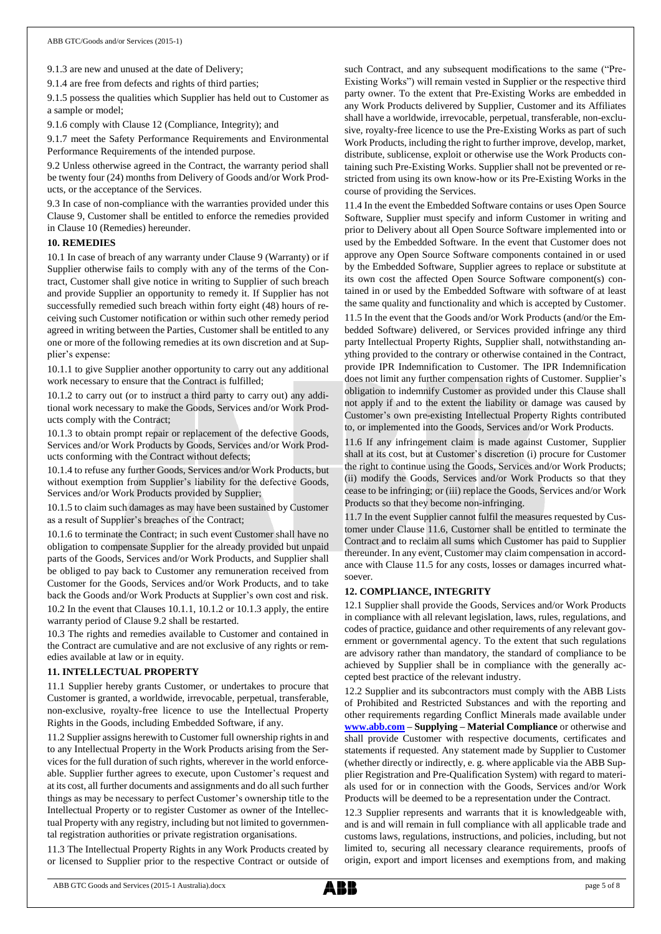9.1.3 are new and unused at the date of Delivery;

9.1.4 are free from defects and rights of third parties;

9.1.5 possess the qualities which Supplier has held out to Customer as a sample or model;

9.1.6 comply with Clause 12 (Compliance, Integrity); and

9.1.7 meet the Safety Performance Requirements and Environmental Performance Requirements of the intended purpose.

9.2 Unless otherwise agreed in the Contract, the warranty period shall be twenty four (24) months from Delivery of Goods and/or Work Products, or the acceptance of the Services.

9.3 In case of non-compliance with the warranties provided under this Clause 9, Customer shall be entitled to enforce the remedies provided in Clause 10 (Remedies) hereunder.

#### **10. REMEDIES**

10.1 In case of breach of any warranty under Clause 9 (Warranty) or if Supplier otherwise fails to comply with any of the terms of the Contract, Customer shall give notice in writing to Supplier of such breach and provide Supplier an opportunity to remedy it. If Supplier has not successfully remedied such breach within forty eight (48) hours of receiving such Customer notification or within such other remedy period agreed in writing between the Parties, Customer shall be entitled to any one or more of the following remedies at its own discretion and at Supplier's expense:

10.1.1 to give Supplier another opportunity to carry out any additional work necessary to ensure that the Contract is fulfilled;

10.1.2 to carry out (or to instruct a third party to carry out) any additional work necessary to make the Goods, Services and/or Work Products comply with the Contract;

10.1.3 to obtain prompt repair or replacement of the defective Goods, Services and/or Work Products by Goods, Services and/or Work Products conforming with the Contract without defects;

10.1.4 to refuse any further Goods, Services and/or Work Products, but without exemption from Supplier's liability for the defective Goods, Services and/or Work Products provided by Supplier;

10.1.5 to claim such damages as may have been sustained by Customer as a result of Supplier's breaches of the Contract;

10.1.6 to terminate the Contract; in such event Customer shall have no obligation to compensate Supplier for the already provided but unpaid parts of the Goods, Services and/or Work Products, and Supplier shall be obliged to pay back to Customer any remuneration received from Customer for the Goods, Services and/or Work Products, and to take back the Goods and/or Work Products at Supplier's own cost and risk. 10.2 In the event that Clauses 10.1.1, 10.1.2 or 10.1.3 apply, the entire warranty period of Clause 9.2 shall be restarted.

10.3 The rights and remedies available to Customer and contained in the Contract are cumulative and are not exclusive of any rights or remedies available at law or in equity.

#### **11. INTELLECTUAL PROPERTY**

11.1 Supplier hereby grants Customer, or undertakes to procure that Customer is granted, a worldwide, irrevocable, perpetual, transferable, non-exclusive, royalty-free licence to use the Intellectual Property Rights in the Goods, including Embedded Software, if any.

11.2 Supplier assigns herewith to Customer full ownership rights in and to any Intellectual Property in the Work Products arising from the Services for the full duration of such rights, wherever in the world enforceable. Supplier further agrees to execute, upon Customer's request and at its cost, all further documents and assignments and do all such further things as may be necessary to perfect Customer's ownership title to the Intellectual Property or to register Customer as owner of the Intellectual Property with any registry, including but not limited to governmental registration authorities or private registration organisations.

11.3 The Intellectual Property Rights in any Work Products created by or licensed to Supplier prior to the respective Contract or outside of such Contract, and any subsequent modifications to the same ("Pre-Existing Works") will remain vested in Supplier or the respective third party owner. To the extent that Pre-Existing Works are embedded in any Work Products delivered by Supplier, Customer and its Affiliates shall have a worldwide, irrevocable, perpetual, transferable, non-exclusive, royalty-free licence to use the Pre-Existing Works as part of such Work Products, including the right to further improve, develop, market, distribute, sublicense, exploit or otherwise use the Work Products containing such Pre-Existing Works. Supplier shall not be prevented or restricted from using its own know-how or its Pre-Existing Works in the course of providing the Services.

11.4 In the event the Embedded Software contains or uses Open Source Software, Supplier must specify and inform Customer in writing and prior to Delivery about all Open Source Software implemented into or used by the Embedded Software. In the event that Customer does not approve any Open Source Software components contained in or used by the Embedded Software, Supplier agrees to replace or substitute at its own cost the affected Open Source Software component(s) contained in or used by the Embedded Software with software of at least the same quality and functionality and which is accepted by Customer. 11.5 In the event that the Goods and/or Work Products (and/or the Embedded Software) delivered, or Services provided infringe any third party Intellectual Property Rights, Supplier shall, notwithstanding anything provided to the contrary or otherwise contained in the Contract, provide IPR Indemnification to Customer. The IPR Indemnification does not limit any further compensation rights of Customer. Supplier's obligation to indemnify Customer as provided under this Clause shall not apply if and to the extent the liability or damage was caused by Customer's own pre-existing Intellectual Property Rights contributed to, or implemented into the Goods, Services and/or Work Products.

11.6 If any infringement claim is made against Customer, Supplier shall at its cost, but at Customer's discretion (i) procure for Customer the right to continue using the Goods, Services and/or Work Products; (ii) modify the Goods, Services and/or Work Products so that they cease to be infringing; or (iii) replace the Goods, Services and/or Work Products so that they become non-infringing.

11.7 In the event Supplier cannot fulfil the measures requested by Customer under Clause 11.6, Customer shall be entitled to terminate the Contract and to reclaim all sums which Customer has paid to Supplier thereunder. In any event, Customer may claim compensation in accordance with Clause 11.5 for any costs, losses or damages incurred whatsoever.

## **12. COMPLIANCE, INTEGRITY**

12.1 Supplier shall provide the Goods, Services and/or Work Products in compliance with all relevant legislation, laws, rules, regulations, and codes of practice, guidance and other requirements of any relevant government or governmental agency. To the extent that such regulations are advisory rather than mandatory, the standard of compliance to be achieved by Supplier shall be in compliance with the generally accepted best practice of the relevant industry.

12.2 Supplier and its subcontractors must comply with the ABB Lists of Prohibited and Restricted Substances and with the reporting and other requirements regarding Conflict Minerals made available under **[www.abb.com](http://www.abb.com/) – Supplying – Material Compliance** or otherwise and shall provide Customer with respective documents, certificates and statements if requested. Any statement made by Supplier to Customer (whether directly or indirectly, e. g. where applicable via the ABB Supplier Registration and Pre-Qualification System) with regard to materials used for or in connection with the Goods, Services and/or Work Products will be deemed to be a representation under the Contract.

12.3 Supplier represents and warrants that it is knowledgeable with, and is and will remain in full compliance with all applicable trade and customs laws, regulations, instructions, and policies, including, but not limited to, securing all necessary clearance requirements, proofs of origin, export and import licenses and exemptions from, and making

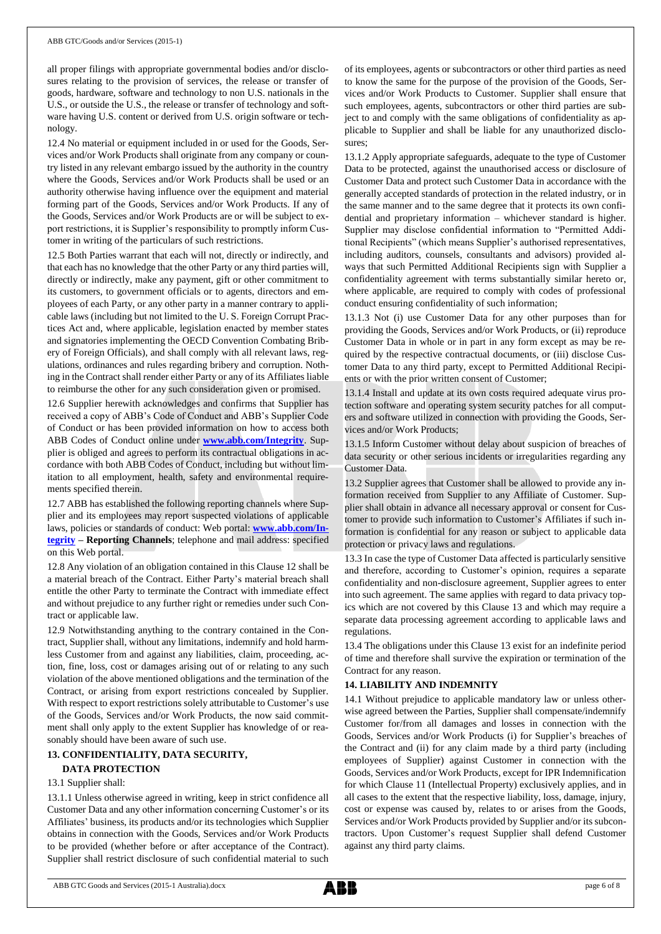all proper filings with appropriate governmental bodies and/or disclosures relating to the provision of services, the release or transfer of goods, hardware, software and technology to non U.S. nationals in the U.S., or outside the U.S., the release or transfer of technology and software having U.S. content or derived from U.S. origin software or technology.

12.4 No material or equipment included in or used for the Goods, Services and/or Work Products shall originate from any company or country listed in any relevant embargo issued by the authority in the country where the Goods, Services and/or Work Products shall be used or an authority otherwise having influence over the equipment and material forming part of the Goods, Services and/or Work Products. If any of the Goods, Services and/or Work Products are or will be subject to export restrictions, it is Supplier's responsibility to promptly inform Customer in writing of the particulars of such restrictions.

12.5 Both Parties warrant that each will not, directly or indirectly, and that each has no knowledge that the other Party or any third parties will, directly or indirectly, make any payment, gift or other commitment to its customers, to government officials or to agents, directors and employees of each Party, or any other party in a manner contrary to applicable laws (including but not limited to the U. S. Foreign Corrupt Practices Act and, where applicable, legislation enacted by member states and signatories implementing the OECD Convention Combating Bribery of Foreign Officials), and shall comply with all relevant laws, regulations, ordinances and rules regarding bribery and corruption. Nothing in the Contract shall render either Party or any of its Affiliates liable to reimburse the other for any such consideration given or promised.

12.6 Supplier herewith acknowledges and confirms that Supplier has received a copy of ABB's Code of Conduct and ABB's Supplier Code of Conduct or has been provided information on how to access both ABB Codes of Conduct online under **[www.abb.com/Integrity](http://www.abb.com/Integrity)**. Supplier is obliged and agrees to perform its contractual obligations in accordance with both ABB Codes of Conduct, including but without limitation to all employment, health, safety and environmental requirements specified therein.

12.7 ABB has established the following reporting channels where Supplier and its employees may report suspected violations of applicable laws, policies or standards of conduct: Web portal: **[www.abb.com/In](http://www.abb.com/Integrity)[tegrity](http://www.abb.com/Integrity) – Reporting Channels**; telephone and mail address: specified on this Web portal.

12.8 Any violation of an obligation contained in this Clause 12 shall be a material breach of the Contract. Either Party's material breach shall entitle the other Party to terminate the Contract with immediate effect and without prejudice to any further right or remedies under such Contract or applicable law.

12.9 Notwithstanding anything to the contrary contained in the Contract, Supplier shall, without any limitations, indemnify and hold harmless Customer from and against any liabilities, claim, proceeding, action, fine, loss, cost or damages arising out of or relating to any such violation of the above mentioned obligations and the termination of the Contract, or arising from export restrictions concealed by Supplier. With respect to export restrictions solely attributable to Customer's use of the Goods, Services and/or Work Products, the now said commitment shall only apply to the extent Supplier has knowledge of or reasonably should have been aware of such use.

## **13. CONFIDENTIALITY, DATA SECURITY,**

## **DATA PROTECTION**

#### 13.1 Supplier shall:

13.1.1 Unless otherwise agreed in writing, keep in strict confidence all Customer Data and any other information concerning Customer's or its Affiliates' business, its products and/or its technologies which Supplier obtains in connection with the Goods, Services and/or Work Products to be provided (whether before or after acceptance of the Contract). Supplier shall restrict disclosure of such confidential material to such of its employees, agents or subcontractors or other third parties as need to know the same for the purpose of the provision of the Goods, Services and/or Work Products to Customer. Supplier shall ensure that such employees, agents, subcontractors or other third parties are subject to and comply with the same obligations of confidentiality as applicable to Supplier and shall be liable for any unauthorized disclosures;

13.1.2 Apply appropriate safeguards, adequate to the type of Customer Data to be protected, against the unauthorised access or disclosure of Customer Data and protect such Customer Data in accordance with the generally accepted standards of protection in the related industry, or in the same manner and to the same degree that it protects its own confidential and proprietary information – whichever standard is higher. Supplier may disclose confidential information to "Permitted Additional Recipients" (which means Supplier's authorised representatives, including auditors, counsels, consultants and advisors) provided always that such Permitted Additional Recipients sign with Supplier a confidentiality agreement with terms substantially similar hereto or, where applicable, are required to comply with codes of professional conduct ensuring confidentiality of such information;

13.1.3 Not (i) use Customer Data for any other purposes than for providing the Goods, Services and/or Work Products, or (ii) reproduce Customer Data in whole or in part in any form except as may be required by the respective contractual documents, or (iii) disclose Customer Data to any third party, except to Permitted Additional Recipients or with the prior written consent of Customer;

13.1.4 Install and update at its own costs required adequate virus protection software and operating system security patches for all computers and software utilized in connection with providing the Goods, Services and/or Work Products;

13.1.5 Inform Customer without delay about suspicion of breaches of data security or other serious incidents or irregularities regarding any Customer Data.

13.2 Supplier agrees that Customer shall be allowed to provide any information received from Supplier to any Affiliate of Customer. Supplier shall obtain in advance all necessary approval or consent for Customer to provide such information to Customer's Affiliates if such information is confidential for any reason or subject to applicable data protection or privacy laws and regulations.

13.3 In case the type of Customer Data affected is particularly sensitive and therefore, according to Customer's opinion, requires a separate confidentiality and non-disclosure agreement, Supplier agrees to enter into such agreement. The same applies with regard to data privacy topics which are not covered by this Clause 13 and which may require a separate data processing agreement according to applicable laws and regulations.

13.4 The obligations under this Clause 13 exist for an indefinite period of time and therefore shall survive the expiration or termination of the Contract for any reason.

### **14. LIABILITY AND INDEMNITY**

14.1 Without prejudice to applicable mandatory law or unless otherwise agreed between the Parties, Supplier shall compensate/indemnify Customer for/from all damages and losses in connection with the Goods, Services and/or Work Products (i) for Supplier's breaches of the Contract and (ii) for any claim made by a third party (including employees of Supplier) against Customer in connection with the Goods, Services and/or Work Products, except for IPR Indemnification for which Clause 11 (Intellectual Property) exclusively applies, and in all cases to the extent that the respective liability, loss, damage, injury, cost or expense was caused by, relates to or arises from the Goods, Services and/or Work Products provided by Supplier and/or its subcontractors. Upon Customer's request Supplier shall defend Customer against any third party claims.

ABB GTC Goods and Services (2015-1 Australia).docx page 6 of 8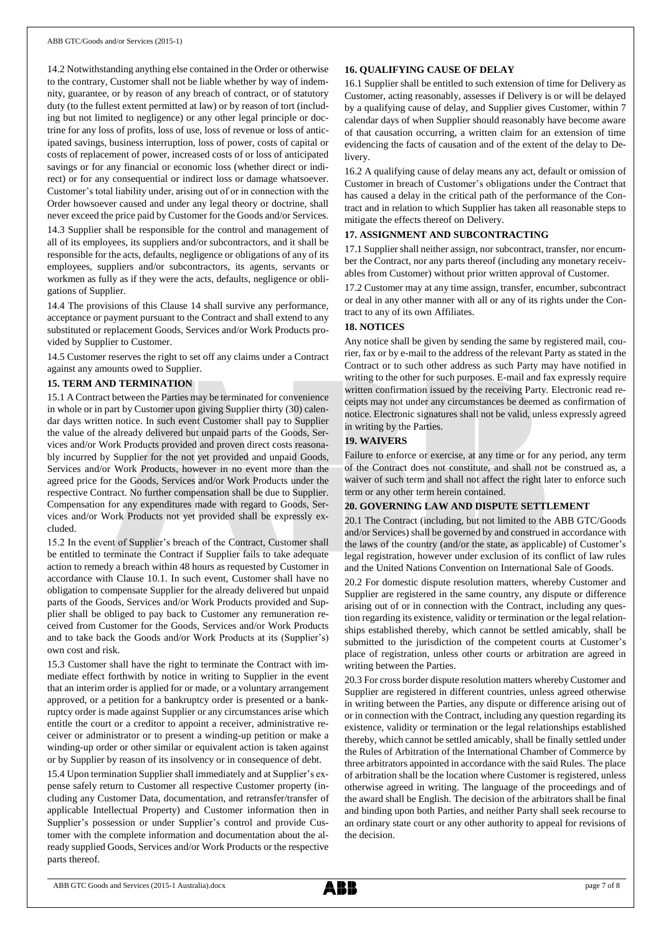14.2 Notwithstanding anything else contained in the Order or otherwise to the contrary, Customer shall not be liable whether by way of indemnity, guarantee, or by reason of any breach of contract, or of statutory duty (to the fullest extent permitted at law) or by reason of tort (including but not limited to negligence) or any other legal principle or doctrine for any loss of profits, loss of use, loss of revenue or loss of anticipated savings, business interruption, loss of power, costs of capital or costs of replacement of power, increased costs of or loss of anticipated savings or for any financial or economic loss (whether direct or indirect) or for any consequential or indirect loss or damage whatsoever. Customer's total liability under, arising out of or in connection with the Order howsoever caused and under any legal theory or doctrine, shall never exceed the price paid by Customer for the Goods and/or Services.

14.3 Supplier shall be responsible for the control and management of all of its employees, its suppliers and/or subcontractors, and it shall be responsible for the acts, defaults, negligence or obligations of any of its employees, suppliers and/or subcontractors, its agents, servants or workmen as fully as if they were the acts, defaults, negligence or obligations of Supplier.

14.4 The provisions of this Clause 14 shall survive any performance, acceptance or payment pursuant to the Contract and shall extend to any substituted or replacement Goods, Services and/or Work Products provided by Supplier to Customer.

14.5 Customer reserves the right to set off any claims under a Contract against any amounts owed to Supplier.

## **15. TERM AND TERMINATION**

15.1 A Contract between the Parties may be terminated for convenience in whole or in part by Customer upon giving Supplier thirty (30) calendar days written notice. In such event Customer shall pay to Supplier the value of the already delivered but unpaid parts of the Goods, Services and/or Work Products provided and proven direct costs reasonably incurred by Supplier for the not yet provided and unpaid Goods, Services and/or Work Products, however in no event more than the agreed price for the Goods, Services and/or Work Products under the respective Contract. No further compensation shall be due to Supplier. Compensation for any expenditures made with regard to Goods, Services and/or Work Products not yet provided shall be expressly excluded.

15.2 In the event of Supplier's breach of the Contract, Customer shall be entitled to terminate the Contract if Supplier fails to take adequate action to remedy a breach within 48 hours as requested by Customer in accordance with Clause 10.1. In such event, Customer shall have no obligation to compensate Supplier for the already delivered but unpaid parts of the Goods, Services and/or Work Products provided and Supplier shall be obliged to pay back to Customer any remuneration received from Customer for the Goods, Services and/or Work Products and to take back the Goods and/or Work Products at its (Supplier's) own cost and risk.

15.3 Customer shall have the right to terminate the Contract with immediate effect forthwith by notice in writing to Supplier in the event that an interim order is applied for or made, or a voluntary arrangement approved, or a petition for a bankruptcy order is presented or a bankruptcy order is made against Supplier or any circumstances arise which entitle the court or a creditor to appoint a receiver, administrative receiver or administrator or to present a winding-up petition or make a winding-up order or other similar or equivalent action is taken against or by Supplier by reason of its insolvency or in consequence of debt.

15.4 Upon termination Supplier shall immediately and at Supplier's expense safely return to Customer all respective Customer property (including any Customer Data, documentation, and retransfer/transfer of applicable Intellectual Property) and Customer information then in Supplier's possession or under Supplier's control and provide Customer with the complete information and documentation about the already supplied Goods, Services and/or Work Products or the respective parts thereof.

#### **16. QUALIFYING CAUSE OF DELAY**

16.1 Supplier shall be entitled to such extension of time for Delivery as Customer, acting reasonably, assesses if Delivery is or will be delayed by a qualifying cause of delay, and Supplier gives Customer, within 7 calendar days of when Supplier should reasonably have become aware of that causation occurring, a written claim for an extension of time evidencing the facts of causation and of the extent of the delay to Delivery.

16.2 A qualifying cause of delay means any act, default or omission of Customer in breach of Customer's obligations under the Contract that has caused a delay in the critical path of the performance of the Contract and in relation to which Supplier has taken all reasonable steps to mitigate the effects thereof on Delivery.

#### **17. ASSIGNMENT AND SUBCONTRACTING**

17.1 Supplier shall neither assign, nor subcontract, transfer, nor encumber the Contract, nor any parts thereof (including any monetary receivables from Customer) without prior written approval of Customer.

17.2 Customer may at any time assign, transfer, encumber, subcontract or deal in any other manner with all or any of its rights under the Contract to any of its own Affiliates.

#### **18. NOTICES**

Any notice shall be given by sending the same by registered mail, courier, fax or by e-mail to the address of the relevant Party as stated in the Contract or to such other address as such Party may have notified in writing to the other for such purposes. E-mail and fax expressly require written confirmation issued by the receiving Party. Electronic read receipts may not under any circumstances be deemed as confirmation of notice. Electronic signatures shall not be valid, unless expressly agreed in writing by the Parties.

#### **19. WAIVERS**

Failure to enforce or exercise, at any time or for any period, any term of the Contract does not constitute, and shall not be construed as, a waiver of such term and shall not affect the right later to enforce such term or any other term herein contained.

#### **20. GOVERNING LAW AND DISPUTE SETTLEMENT**

20.1 The Contract (including, but not limited to the ABB GTC/Goods and/or Services) shall be governed by and construed in accordance with the laws of the country (and/or the state, as applicable) of Customer's legal registration, however under exclusion of its conflict of law rules and the United Nations Convention on International Sale of Goods.

20.2 For domestic dispute resolution matters, whereby Customer and Supplier are registered in the same country, any dispute or difference arising out of or in connection with the Contract, including any question regarding its existence, validity or termination or the legal relationships established thereby, which cannot be settled amicably, shall be submitted to the jurisdiction of the competent courts at Customer's place of registration, unless other courts or arbitration are agreed in writing between the Parties.

20.3 For cross border dispute resolution matters whereby Customer and Supplier are registered in different countries, unless agreed otherwise in writing between the Parties, any dispute or difference arising out of or in connection with the Contract, including any question regarding its existence, validity or termination or the legal relationships established thereby, which cannot be settled amicably, shall be finally settled under the Rules of Arbitration of the International Chamber of Commerce by three arbitrators appointed in accordance with the said Rules. The place of arbitration shall be the location where Customer is registered, unless otherwise agreed in writing. The language of the proceedings and of the award shall be English. The decision of the arbitrators shall be final and binding upon both Parties, and neither Party shall seek recourse to an ordinary state court or any other authority to appeal for revisions of the decision.

```
ABB GTC Goods and Services (2015-1 Australia).docx page 7 of 8
```